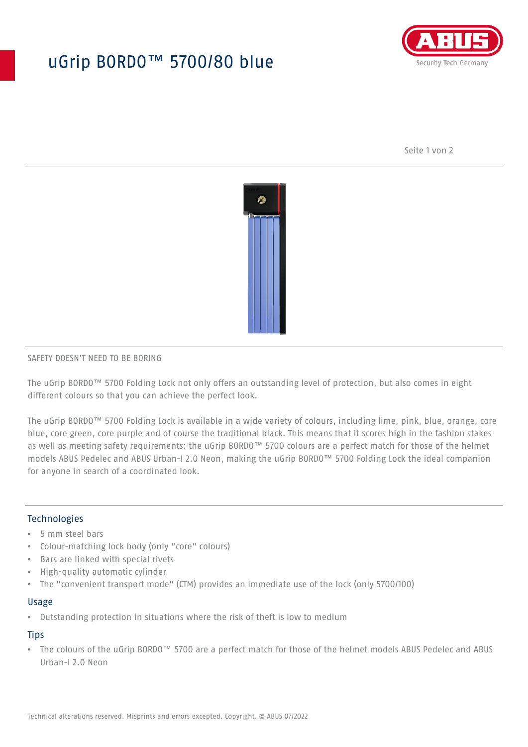# uGrip BORDO™ 5700/80 blue



Seite 1 von 2



#### SAFETY DOESN'T NEED TO BE BORING

The uGrip BORDO™ 5700 Folding Lock not only offers an outstanding level of protection, but also comes in eight different colours so that you can achieve the perfect look.

The uGrip BORDO™ 5700 Folding Lock is available in a wide variety of colours, including lime, pink, blue, orange, core blue, core green, core purple and of course the traditional black. This means that it scores high in the fashion stakes as well as meeting safety requirements: the uGrip BORDO™ 5700 colours are a perfect match for those of the helmet models ABUS Pedelec and ABUS Urban-I 2.0 Neon, making the uGrip BORDO™ 5700 Folding Lock the ideal companion for anyone in search of a coordinated look.

## Technologies

- 5 mm steel bars
- Colour-matching lock body (only "core" colours)
- Bars are linked with special rivets
- High-quality automatic cylinder
- The "convenient transport mode" (CTM) provides an immediate use of the lock (only 5700/100)

#### Usage

• Outstanding protection in situations where the risk of theft is low to medium

### **Tips**

• The colours of the uGrip BORDO™ 5700 are a perfect match for those of the helmet models ABUS Pedelec and ABUS Urban-I 2.0 Neon